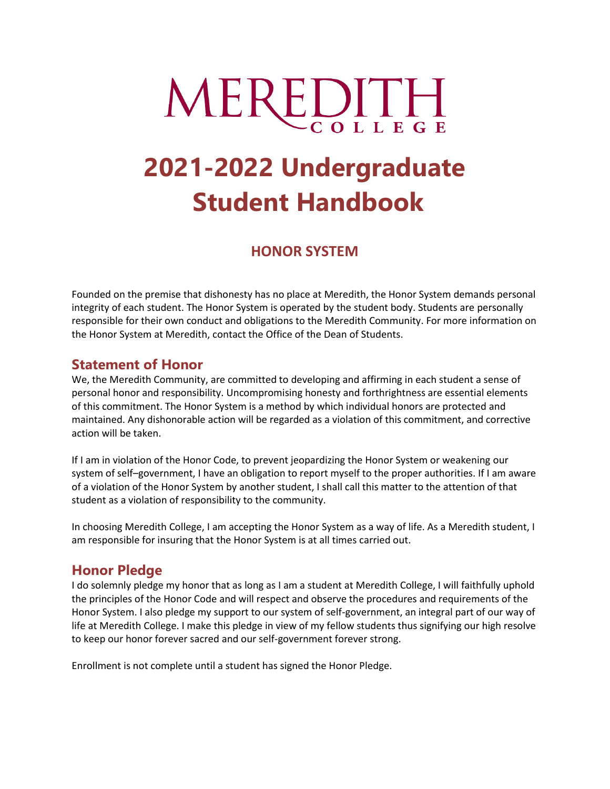# MEREDITH

# **2021-2022 Undergraduate Student Handbook**

# **HONOR SYSTEM**

Founded on the premise that dishonesty has no place at Meredith, the Honor System demands personal integrity of each student. The Honor System is operated by the student body. Students are personally responsible for their own conduct and obligations to the Meredith Community. For more information on the Honor System at Meredith, contact the Office of the Dean of Students.

# **Statement of Honor**

We, the Meredith Community, are committed to developing and affirming in each student a sense of personal honor and responsibility. Uncompromising honesty and forthrightness are essential elements of this commitment. The Honor System is a method by which individual honors are protected and maintained. Any dishonorable action will be regarded as a violation of this commitment, and corrective action will be taken.

If I am in violation of the Honor Code, to prevent jeopardizing the Honor System or weakening our system of self–government, I have an obligation to report myself to the proper authorities. If I am aware of a violation of the Honor System by another student, I shall call this matter to the attention of that student as a violation of responsibility to the community.

In choosing Meredith College, I am accepting the Honor System as a way of life. As a Meredith student, I am responsible for insuring that the Honor System is at all times carried out.

# **Honor Pledge**

I do solemnly pledge my honor that as long as I am a student at Meredith College, I will faithfully uphold the principles of the Honor Code and will respect and observe the procedures and requirements of the Honor System. I also pledge my support to our system of self-government, an integral part of our way of life at Meredith College. I make this pledge in view of my fellow students thus signifying our high resolve to keep our honor forever sacred and our self-government forever strong.

Enrollment is not complete until a student has signed the Honor Pledge.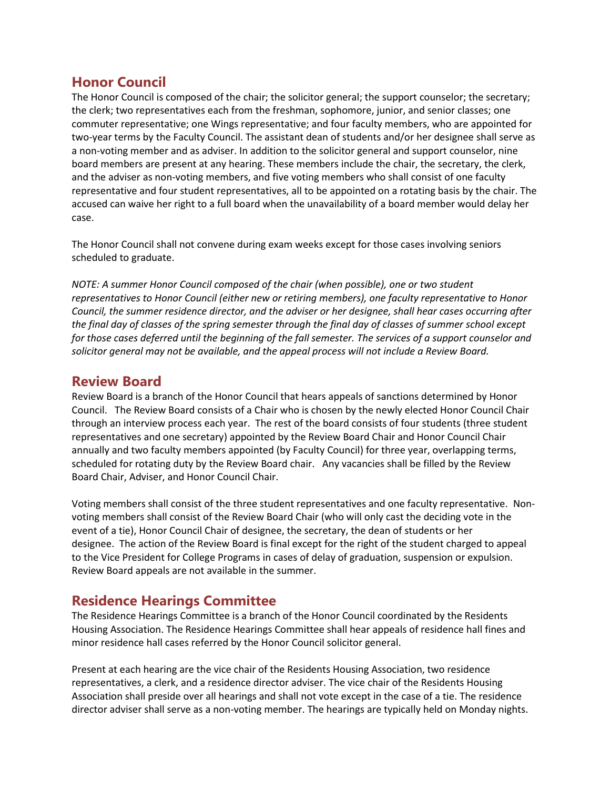# **Honor Council**

The Honor Council is composed of the chair; the solicitor general; the support counselor; the secretary; the clerk; two representatives each from the freshman, sophomore, junior, and senior classes; one commuter representative; one Wings representative; and four faculty members, who are appointed for two-year terms by the Faculty Council. The assistant dean of students and/or her designee shall serve as a non-voting member and as adviser. In addition to the solicitor general and support counselor, nine board members are present at any hearing. These members include the chair, the secretary, the clerk, and the adviser as non-voting members, and five voting members who shall consist of one faculty representative and four student representatives, all to be appointed on a rotating basis by the chair. The accused can waive her right to a full board when the unavailability of a board member would delay her case.

The Honor Council shall not convene during exam weeks except for those cases involving seniors scheduled to graduate.

*NOTE: A summer Honor Council composed of the chair (when possible), one or two student representatives to Honor Council (either new or retiring members), one faculty representative to Honor Council, the summer residence director, and the adviser or her designee, shall hear cases occurring after the final day of classes of the spring semester through the final day of classes of summer school except for those cases deferred until the beginning of the fall semester. The services of a support counselor and solicitor general may not be available, and the appeal process will not include a Review Board.*

### **Review Board**

Review Board is a branch of the Honor Council that hears appeals of sanctions determined by Honor Council. The Review Board consists of a Chair who is chosen by the newly elected Honor Council Chair through an interview process each year. The rest of the board consists of four students (three student representatives and one secretary) appointed by the Review Board Chair and Honor Council Chair annually and two faculty members appointed (by Faculty Council) for three year, overlapping terms, scheduled for rotating duty by the Review Board chair. Any vacancies shall be filled by the Review Board Chair, Adviser, and Honor Council Chair.

Voting members shall consist of the three student representatives and one faculty representative. Nonvoting members shall consist of the Review Board Chair (who will only cast the deciding vote in the event of a tie), Honor Council Chair of designee, the secretary, the dean of students or her designee. The action of the Review Board is final except for the right of the student charged to appeal to the Vice President for College Programs in cases of delay of graduation, suspension or expulsion. Review Board appeals are not available in the summer.

# **Residence Hearings Committee**

The Residence Hearings Committee is a branch of the Honor Council coordinated by the Residents Housing Association. The Residence Hearings Committee shall hear appeals of residence hall fines and minor residence hall cases referred by the Honor Council solicitor general.

Present at each hearing are the vice chair of the Residents Housing Association, two residence representatives, a clerk, and a residence director adviser. The vice chair of the Residents Housing Association shall preside over all hearings and shall not vote except in the case of a tie. The residence director adviser shall serve as a non-voting member. The hearings are typically held on Monday nights.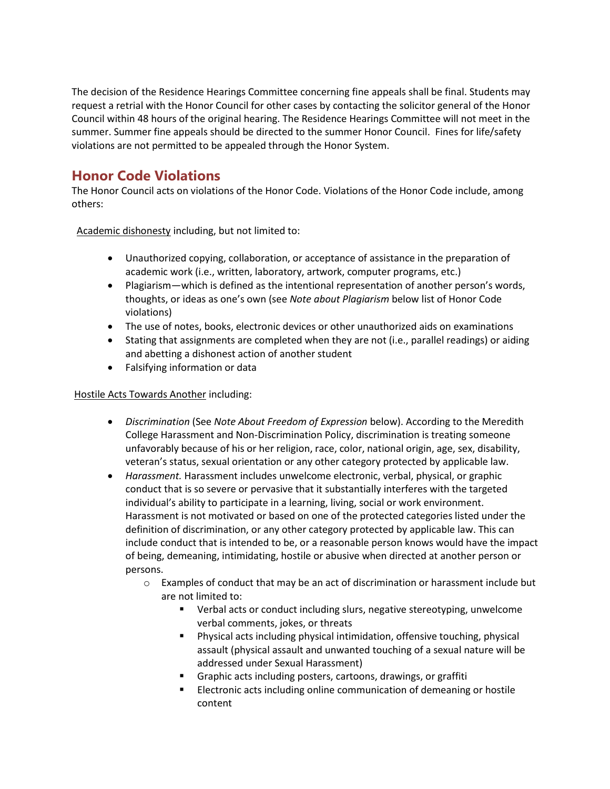The decision of the Residence Hearings Committee concerning fine appeals shall be final. Students may request a retrial with the Honor Council for other cases by contacting the solicitor general of the Honor Council within 48 hours of the original hearing. The Residence Hearings Committee will not meet in the summer. Summer fine appeals should be directed to the summer Honor Council. Fines for life/safety violations are not permitted to be appealed through the Honor System.

# **Honor Code Violations**

The Honor Council acts on violations of the Honor Code. Violations of the Honor Code include, among others:

Academic dishonesty including, but not limited to:

- Unauthorized copying, collaboration, or acceptance of assistance in the preparation of academic work (i.e., written, laboratory, artwork, computer programs, etc.)
- Plagiarism—which is defined as the intentional representation of another person's words, thoughts, or ideas as one's own (see *Note about Plagiarism* below list of Honor Code violations)
- The use of notes, books, electronic devices or other unauthorized aids on examinations
- Stating that assignments are completed when they are not (i.e., parallel readings) or aiding and abetting a dishonest action of another student
- Falsifying information or data

#### Hostile Acts Towards Another including:

- *Discrimination* (See *Note About Freedom of Expression* below). According to the Meredith College Harassment and Non-Discrimination Policy, discrimination is treating someone unfavorably because of his or her religion, race, color, national origin, age, sex, disability, veteran's status, sexual orientation or any other category protected by applicable law.
- *Harassment.* Harassment includes unwelcome electronic, verbal, physical, or graphic conduct that is so severe or pervasive that it substantially interferes with the targeted individual's ability to participate in a learning, living, social or work environment. Harassment is not motivated or based on one of the protected categories listed under the definition of discrimination, or any other category protected by applicable law. This can include conduct that is intended to be, or a reasonable person knows would have the impact of being, demeaning, intimidating, hostile or abusive when directed at another person or persons.
	- $\circ$  Examples of conduct that may be an act of discrimination or harassment include but are not limited to:
		- Verbal acts or conduct including slurs, negative stereotyping, unwelcome verbal comments, jokes, or threats
		- Physical acts including physical intimidation, offensive touching, physical assault (physical assault and unwanted touching of a sexual nature will be addressed under Sexual Harassment)
		- Graphic acts including posters, cartoons, drawings, or graffiti
		- **Electronic acts including online communication of demeaning or hostile** content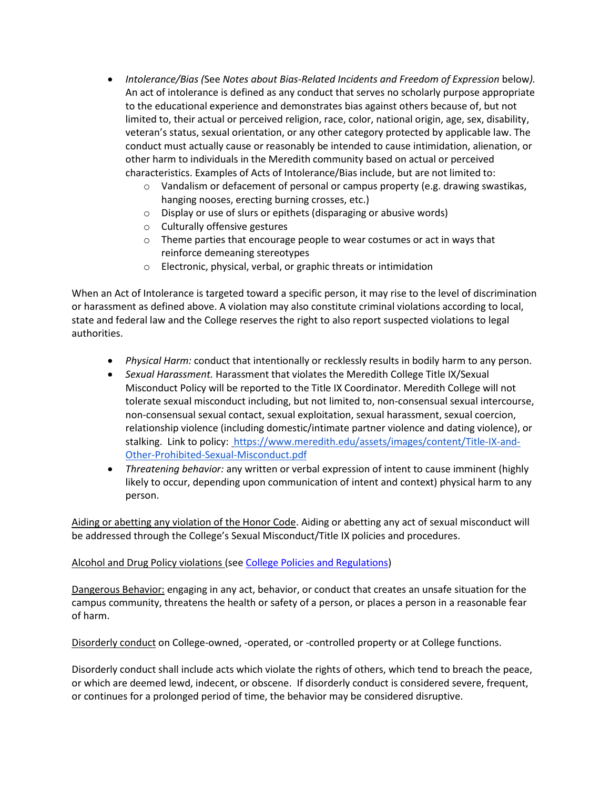- *Intolerance/Bias (*See *Notes about Bias-Related Incidents and Freedom of Expression* below*).*  An act of intolerance is defined as any conduct that serves no scholarly purpose appropriate to the educational experience and demonstrates bias against others because of, but not limited to, their actual or perceived religion, race, color, national origin, age, sex, disability, veteran's status, sexual orientation, or any other category protected by applicable law. The conduct must actually cause or reasonably be intended to cause intimidation, alienation, or other harm to individuals in the Meredith community based on actual or perceived characteristics. Examples of Acts of Intolerance/Bias include, but are not limited to:
	- $\circ$  Vandalism or defacement of personal or campus property (e.g. drawing swastikas, hanging nooses, erecting burning crosses, etc.)
	- o Display or use of slurs or epithets (disparaging or abusive words)
	- o Culturally offensive gestures
	- o Theme parties that encourage people to wear costumes or act in ways that reinforce demeaning stereotypes
	- o Electronic, physical, verbal, or graphic threats or intimidation

When an Act of Intolerance is targeted toward a specific person, it may rise to the level of discrimination or harassment as defined above. A violation may also constitute criminal violations according to local, state and federal law and the College reserves the right to also report suspected violations to legal authorities.

- *Physical Harm:* conduct that intentionally or recklessly results in bodily harm to any person.
- *Sexual Harassment.* Harassment that violates the Meredith College Title IX/Sexual Misconduct Policy will be reported to the Title IX Coordinator. Meredith College will not tolerate sexual misconduct including, but not limited to, non-consensual sexual intercourse, non-consensual sexual contact, sexual exploitation, sexual harassment, sexual coercion, relationship violence (including domestic/intimate partner violence and dating violence), or stalking. Link to policy: [https://www.meredith.edu/assets/images/content/Title-IX-and-](https://www.meredith.edu/assets/images/content/Title-IX-and-Other-Prohibited-Sexual-Misconduct.pdf)[Other-Prohibited-Sexual-Misconduct.pdf](https://www.meredith.edu/assets/images/content/Title-IX-and-Other-Prohibited-Sexual-Misconduct.pdf)
- *Threatening behavior:* any written or verbal expression of intent to cause imminent (highly likely to occur, depending upon communication of intent and context) physical harm to any person.

Aiding or abetting any violation of the Honor Code. Aiding or abetting any act of sexual misconduct will be addressed through the College's Sexual Misconduct/Title IX policies and procedures.

#### Alcohol and Drug Policy violations (se[e College Policies and Regulations\)](https://meredith.edu/assets/images/content/sh_college_policies_and_regulations.pdf)

Dangerous Behavior: engaging in any act, behavior, or conduct that creates an unsafe situation for the campus community, threatens the health or safety of a person, or places a person in a reasonable fear of harm.

Disorderly conduct on College-owned, -operated, or -controlled property or at College functions.

Disorderly conduct shall include acts which violate the rights of others, which tend to breach the peace, or which are deemed lewd, indecent, or obscene. If disorderly conduct is considered severe, frequent, or continues for a prolonged period of time, the behavior may be considered disruptive.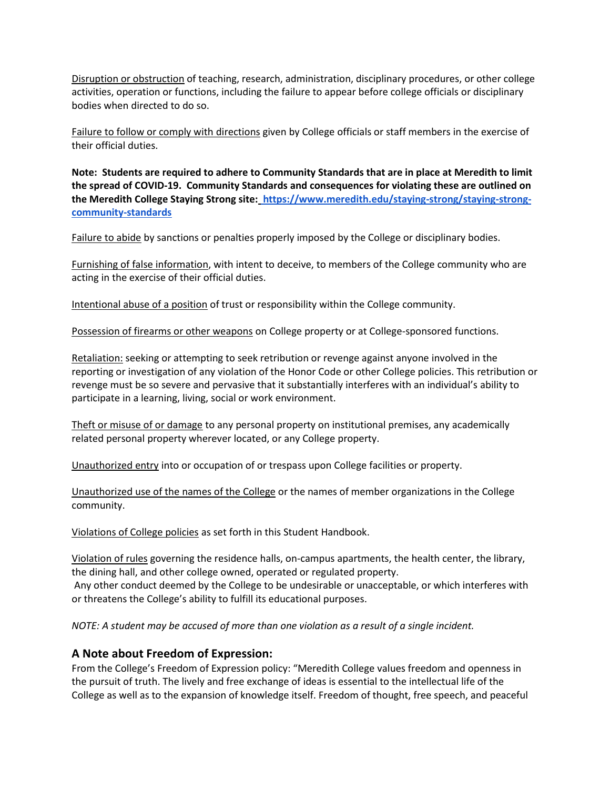Disruption or obstruction of teaching, research, administration, disciplinary procedures, or other college activities, operation or functions, including the failure to appear before college officials or disciplinary bodies when directed to do so.

Failure to follow or comply with directions given by College officials or staff members in the exercise of their official duties.

**Note: Students are required to adhere to Community Standards that are in place at Meredith to limit the spread of COVID-19. Community Standards and consequences for violating these are outlined on the Meredith College Staying Strong site[:](https://www.meredith.edu/staying-strong/staying-strong-community-standards) https://www.meredith.edu/staying-strong/staying-strongcommunity-standards**

Failure to abide by sanctions or penalties properly imposed by the College or disciplinary bodies.

Furnishing of false information, with intent to deceive, to members of the College community who are acting in the exercise of their official duties.

Intentional abuse of a position of trust or responsibility within the College community.

Possession of firearms or other weapons on College property or at College-sponsored functions.

Retaliation: seeking or attempting to seek retribution or revenge against anyone involved in the reporting or investigation of any violation of the Honor Code or other College policies. This retribution or revenge must be so severe and pervasive that it substantially interferes with an individual's ability to participate in a learning, living, social or work environment.

Theft or misuse of or damage to any personal property on institutional premises, any academically related personal property wherever located, or any College property.

Unauthorized entry into or occupation of or trespass upon College facilities or property.

Unauthorized use of the names of the College or the names of member organizations in the College community.

Violations of College policies as set forth in this Student Handbook.

Violation of rules governing the residence halls, on-campus apartments, the health center, the library, the dining hall, and other college owned, operated or regulated property.

Any other conduct deemed by the College to be undesirable or unacceptable, or which interferes with or threatens the College's ability to fulfill its educational purposes.

*NOTE: A student may be accused of more than one violation as a result of a single incident.*

#### **A Note about Freedom of Expression:**

From the College's Freedom of Expression policy: "Meredith College values freedom and openness in the pursuit of truth. The lively and free exchange of ideas is essential to the intellectual life of the College as well as to the expansion of knowledge itself. Freedom of thought, free speech, and peaceful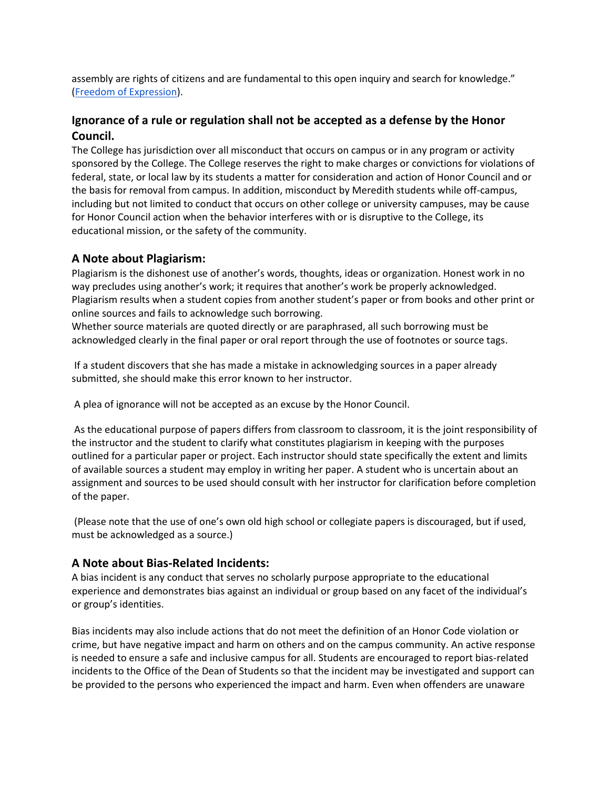assembly are rights of citizens and are fundamental to this open inquiry and search for knowledge." [\(Freedom of Expression\)](https://drive.google.com/file/d/1DWA874-hdeEFyZqkg8z6GekZ19b8aojc/view?usp=sharing).

#### **Ignorance of a rule or regulation shall not be accepted as a defense by the Honor Council.**

The College has jurisdiction over all misconduct that occurs on campus or in any program or activity sponsored by the College. The College reserves the right to make charges or convictions for violations of federal, state, or local law by its students a matter for consideration and action of Honor Council and or the basis for removal from campus. In addition, misconduct by Meredith students while off-campus, including but not limited to conduct that occurs on other college or university campuses, may be cause for Honor Council action when the behavior interferes with or is disruptive to the College, its educational mission, or the safety of the community.

#### **A Note about Plagiarism:**

Plagiarism is the dishonest use of another's words, thoughts, ideas or organization. Honest work in no way precludes using another's work; it requires that another's work be properly acknowledged. Plagiarism results when a student copies from another student's paper or from books and other print or online sources and fails to acknowledge such borrowing.

Whether source materials are quoted directly or are paraphrased, all such borrowing must be acknowledged clearly in the final paper or oral report through the use of footnotes or source tags.

If a student discovers that she has made a mistake in acknowledging sources in a paper already submitted, she should make this error known to her instructor.

A plea of ignorance will not be accepted as an excuse by the Honor Council.

As the educational purpose of papers differs from classroom to classroom, it is the joint responsibility of the instructor and the student to clarify what constitutes plagiarism in keeping with the purposes outlined for a particular paper or project. Each instructor should state specifically the extent and limits of available sources a student may employ in writing her paper. A student who is uncertain about an assignment and sources to be used should consult with her instructor for clarification before completion of the paper.

(Please note that the use of one's own old high school or collegiate papers is discouraged, but if used, must be acknowledged as a source.)

#### **A Note about Bias-Related Incidents:**

A bias incident is any conduct that serves no scholarly purpose appropriate to the educational experience and demonstrates bias against an individual or group based on any facet of the individual's or group's identities.

Bias incidents may also include actions that do not meet the definition of an Honor Code violation or crime, but have negative impact and harm on others and on the campus community. An active response is needed to ensure a safe and inclusive campus for all. Students are encouraged to report bias-related incidents to the Office of the Dean of Students so that the incident may be investigated and support can be provided to the persons who experienced the impact and harm. Even when offenders are unaware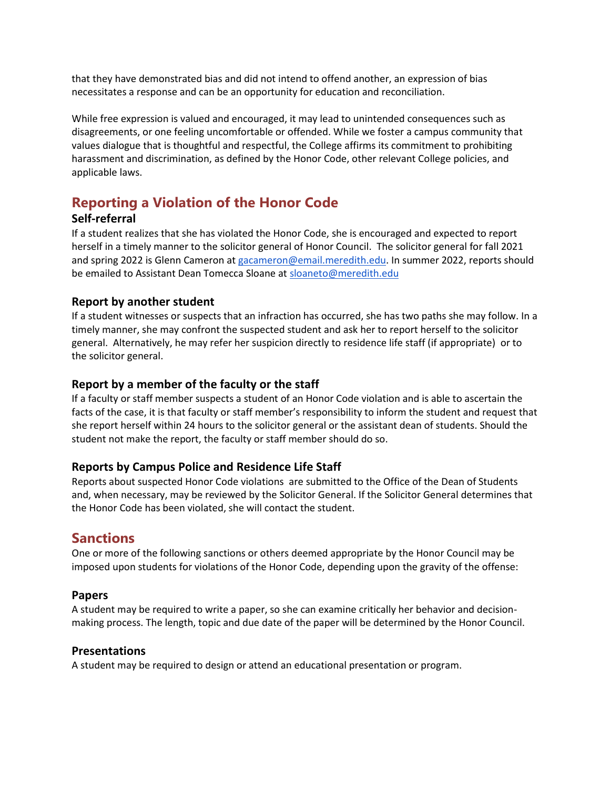that they have demonstrated bias and did not intend to offend another, an expression of bias necessitates a response and can be an opportunity for education and reconciliation.

While free expression is valued and encouraged, it may lead to unintended consequences such as disagreements, or one feeling uncomfortable or offended. While we foster a campus community that values dialogue that is thoughtful and respectful, the College affirms its commitment to prohibiting harassment and discrimination, as defined by the Honor Code, other relevant College policies, and applicable laws.

# **Reporting a Violation of the Honor Code**

#### **Self-referral**

If a student realizes that she has violated the Honor Code, she is encouraged and expected to report herself in a timely manner to the solicitor general of Honor Council. The solicitor general for fall 2021 and spring 2022 is Glenn Cameron at [gacameron@email.meredith.edu.](mailto:gacameron@email.meredith.edu) In summer 2022, reports should be emailed to Assistant Dean Tomecca Sloane at [sloaneto@meredith.edu](mailto:sloaneto@meredith.edu)

#### **Report by another student**

If a student witnesses or suspects that an infraction has occurred, she has two paths she may follow. In a timely manner, she may confront the suspected student and ask her to report herself to the solicitor general. Alternatively, he may refer her suspicion directly to residence life staff (if appropriate) or to the solicitor general.

#### **Report by a member of the faculty or the staff**

If a faculty or staff member suspects a student of an Honor Code violation and is able to ascertain the facts of the case, it is that faculty or staff member's responsibility to inform the student and request that she report herself within 24 hours to the solicitor general or the assistant dean of students. Should the student not make the report, the faculty or staff member should do so.

#### **Reports by Campus Police and Residence Life Staff**

Reports about suspected Honor Code violations are submitted to the Office of the Dean of Students and, when necessary, may be reviewed by the Solicitor General. If the Solicitor General determines that the Honor Code has been violated, she will contact the student.

# **Sanctions**

One or more of the following sanctions or others deemed appropriate by the Honor Council may be imposed upon students for violations of the Honor Code, depending upon the gravity of the offense:

#### **Papers**

A student may be required to write a paper, so she can examine critically her behavior and decisionmaking process. The length, topic and due date of the paper will be determined by the Honor Council.

#### **Presentations**

A student may be required to design or attend an educational presentation or program.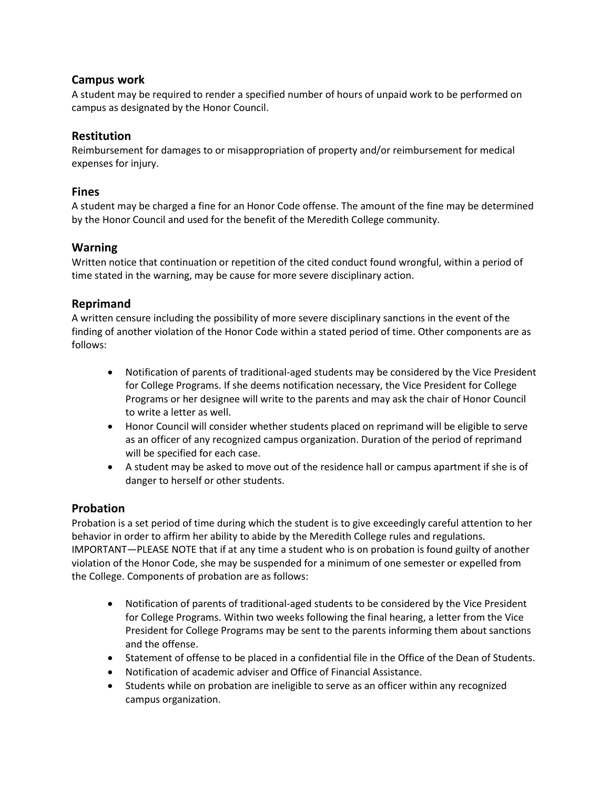#### **Campus work**

A student may be required to render a specified number of hours of unpaid work to be performed on campus as designated by the Honor Council.

#### **Restitution**

Reimbursement for damages to or misappropriation of property and/or reimbursement for medical expenses for injury.

#### **Fines**

A student may be charged a fine for an Honor Code offense. The amount of the fine may be determined by the Honor Council and used for the benefit of the Meredith College community.

#### **Warning**

Written notice that continuation or repetition of the cited conduct found wrongful, within a period of time stated in the warning, may be cause for more severe disciplinary action.

#### **Reprimand**

A written censure including the possibility of more severe disciplinary sanctions in the event of the finding of another violation of the Honor Code within a stated period of time. Other components are as follows:

- Notification of parents of traditional-aged students may be considered by the Vice President for College Programs. If she deems notification necessary, the Vice President for College Programs or her designee will write to the parents and may ask the chair of Honor Council to write a letter as well.
- Honor Council will consider whether students placed on reprimand will be eligible to serve as an officer of any recognized campus organization. Duration of the period of reprimand will be specified for each case.
- A student may be asked to move out of the residence hall or campus apartment if she is of danger to herself or other students.

#### **Probation**

Probation is a set period of time during which the student is to give exceedingly careful attention to her behavior in order to affirm her ability to abide by the Meredith College rules and regulations. IMPORTANT—PLEASE NOTE that if at any time a student who is on probation is found guilty of another violation of the Honor Code, she may be suspended for a minimum of one semester or expelled from the College. Components of probation are as follows:

- Notification of parents of traditional-aged students to be considered by the Vice President for College Programs. Within two weeks following the final hearing, a letter from the Vice President for College Programs may be sent to the parents informing them about sanctions and the offense.
- Statement of offense to be placed in a confidential file in the Office of the Dean of Students.
- Notification of academic adviser and Office of Financial Assistance.
- Students while on probation are ineligible to serve as an officer within any recognized campus organization.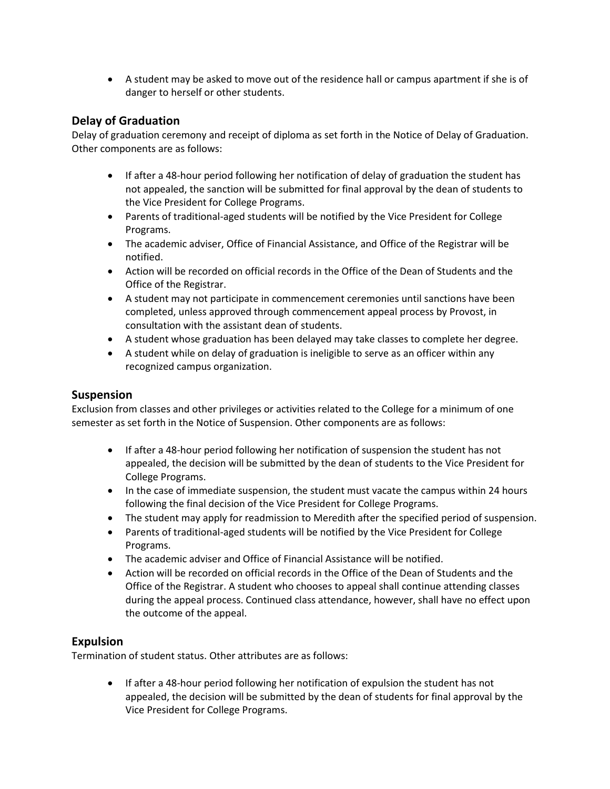A student may be asked to move out of the residence hall or campus apartment if she is of danger to herself or other students.

#### **Delay of Graduation**

Delay of graduation ceremony and receipt of diploma as set forth in the Notice of Delay of Graduation. Other components are as follows:

- If after a 48-hour period following her notification of delay of graduation the student has not appealed, the sanction will be submitted for final approval by the dean of students to the Vice President for College Programs.
- Parents of traditional-aged students will be notified by the Vice President for College Programs.
- The academic adviser, Office of Financial Assistance, and Office of the Registrar will be notified.
- Action will be recorded on official records in the Office of the Dean of Students and the Office of the Registrar.
- A student may not participate in commencement ceremonies until sanctions have been completed, unless approved through commencement appeal process by Provost, in consultation with the assistant dean of students.
- A student whose graduation has been delayed may take classes to complete her degree.
- A student while on delay of graduation is ineligible to serve as an officer within any recognized campus organization.

#### **Suspension**

Exclusion from classes and other privileges or activities related to the College for a minimum of one semester as set forth in the Notice of Suspension. Other components are as follows:

- If after a 48-hour period following her notification of suspension the student has not appealed, the decision will be submitted by the dean of students to the Vice President for College Programs.
- In the case of immediate suspension, the student must vacate the campus within 24 hours following the final decision of the Vice President for College Programs.
- The student may apply for readmission to Meredith after the specified period of suspension.
- Parents of traditional-aged students will be notified by the Vice President for College Programs.
- The academic adviser and Office of Financial Assistance will be notified.
- Action will be recorded on official records in the Office of the Dean of Students and the Office of the Registrar. A student who chooses to appeal shall continue attending classes during the appeal process. Continued class attendance, however, shall have no effect upon the outcome of the appeal.

#### **Expulsion**

Termination of student status. Other attributes are as follows:

 If after a 48-hour period following her notification of expulsion the student has not appealed, the decision will be submitted by the dean of students for final approval by the Vice President for College Programs.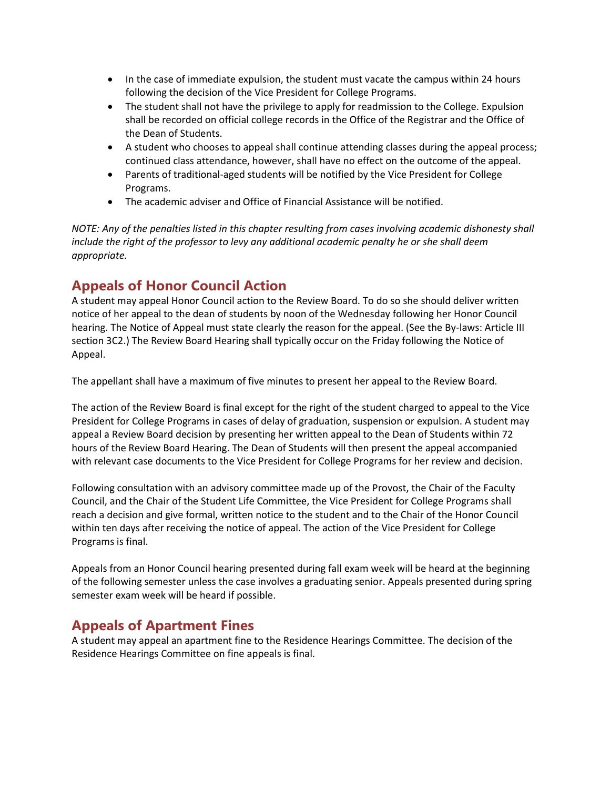- In the case of immediate expulsion, the student must vacate the campus within 24 hours following the decision of the Vice President for College Programs.
- The student shall not have the privilege to apply for readmission to the College. Expulsion shall be recorded on official college records in the Office of the Registrar and the Office of the Dean of Students.
- A student who chooses to appeal shall continue attending classes during the appeal process; continued class attendance, however, shall have no effect on the outcome of the appeal.
- Parents of traditional-aged students will be notified by the Vice President for College Programs.
- The academic adviser and Office of Financial Assistance will be notified.

*NOTE: Any of the penalties listed in this chapter resulting from cases involving academic dishonesty shall include the right of the professor to levy any additional academic penalty he or she shall deem appropriate.*

# **Appeals of Honor Council Action**

A student may appeal Honor Council action to the Review Board. To do so she should deliver written notice of her appeal to the dean of students by noon of the Wednesday following her Honor Council hearing. The Notice of Appeal must state clearly the reason for the appeal. (See the By-laws: Article III section 3C2.) The Review Board Hearing shall typically occur on the Friday following the Notice of Appeal.

The appellant shall have a maximum of five minutes to present her appeal to the Review Board.

The action of the Review Board is final except for the right of the student charged to appeal to the Vice President for College Programs in cases of delay of graduation, suspension or expulsion. A student may appeal a Review Board decision by presenting her written appeal to the Dean of Students within 72 hours of the Review Board Hearing. The Dean of Students will then present the appeal accompanied with relevant case documents to the Vice President for College Programs for her review and decision.

Following consultation with an advisory committee made up of the Provost, the Chair of the Faculty Council, and the Chair of the Student Life Committee, the Vice President for College Programs shall reach a decision and give formal, written notice to the student and to the Chair of the Honor Council within ten days after receiving the notice of appeal. The action of the Vice President for College Programs is final.

Appeals from an Honor Council hearing presented during fall exam week will be heard at the beginning of the following semester unless the case involves a graduating senior. Appeals presented during spring semester exam week will be heard if possible.

# **Appeals of Apartment Fines**

A student may appeal an apartment fine to the Residence Hearings Committee. The decision of the Residence Hearings Committee on fine appeals is final.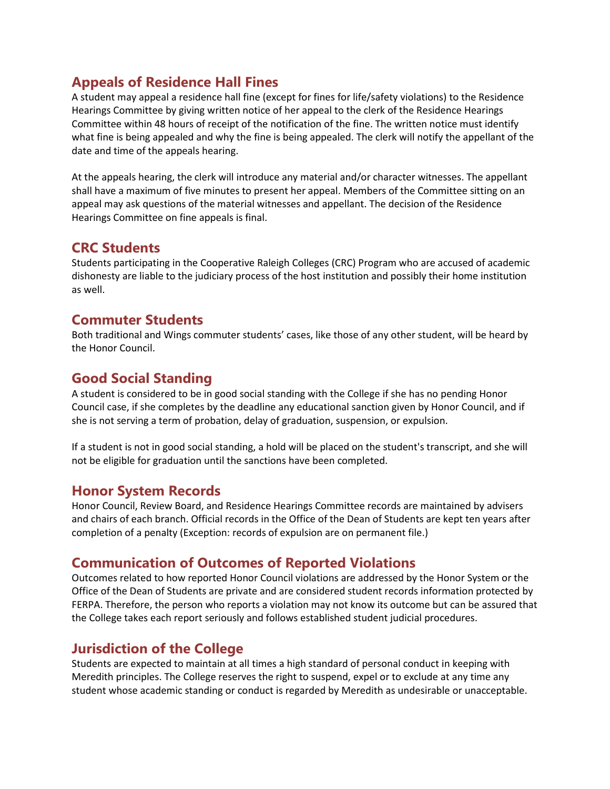# **Appeals of Residence Hall Fines**

A student may appeal a residence hall fine (except for fines for life/safety violations) to the Residence Hearings Committee by giving written notice of her appeal to the clerk of the Residence Hearings Committee within 48 hours of receipt of the notification of the fine. The written notice must identify what fine is being appealed and why the fine is being appealed. The clerk will notify the appellant of the date and time of the appeals hearing.

At the appeals hearing, the clerk will introduce any material and/or character witnesses. The appellant shall have a maximum of five minutes to present her appeal. Members of the Committee sitting on an appeal may ask questions of the material witnesses and appellant. The decision of the Residence Hearings Committee on fine appeals is final.

# **CRC Students**

Students participating in the Cooperative Raleigh Colleges (CRC) Program who are accused of academic dishonesty are liable to the judiciary process of the host institution and possibly their home institution as well.

# **Commuter Students**

Both traditional and Wings commuter students' cases, like those of any other student, will be heard by the Honor Council.

# **Good Social Standing**

A student is considered to be in good social standing with the College if she has no pending Honor Council case, if she completes by the deadline any educational sanction given by Honor Council, and if she is not serving a term of probation, delay of graduation, suspension, or expulsion.

If a student is not in good social standing, a hold will be placed on the student's transcript, and she will not be eligible for graduation until the sanctions have been completed.

# **Honor System Records**

Honor Council, Review Board, and Residence Hearings Committee records are maintained by advisers and chairs of each branch. Official records in the Office of the Dean of Students are kept ten years after completion of a penalty (Exception: records of expulsion are on permanent file.)

# **Communication of Outcomes of Reported Violations**

Outcomes related to how reported Honor Council violations are addressed by the Honor System or the Office of the Dean of Students are private and are considered student records information protected by FERPA. Therefore, the person who reports a violation may not know its outcome but can be assured that the College takes each report seriously and follows established student judicial procedures.

# **Jurisdiction of the College**

Students are expected to maintain at all times a high standard of personal conduct in keeping with Meredith principles. The College reserves the right to suspend, expel or to exclude at any time any student whose academic standing or conduct is regarded by Meredith as undesirable or unacceptable.